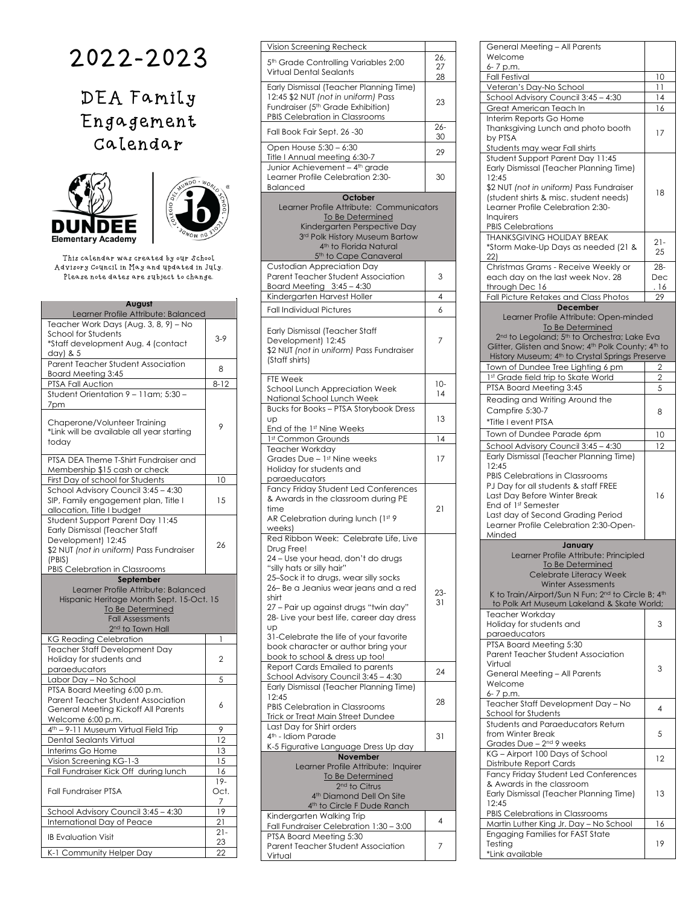## 2022-2023

DEA Family Engagement Calendar





This calendar was created by our School Advisory Council in May and updated in July. Please note dates are subject to change.

| August                                                                           |                |
|----------------------------------------------------------------------------------|----------------|
| Learner Profile Attribute: Balanced                                              |                |
| Teacher Work Days (Aug. 3, 8, 9) - No<br>School for Students                     |                |
| *Staff development Aug. 4 (contact                                               | $3-9$          |
| day) & 5                                                                         |                |
| <b>Parent Teacher Student Association</b>                                        |                |
| Board Meeting 3:45                                                               | 8              |
| PTSA Fall Auction                                                                | $8 - 12$       |
| Student Orientation 9 - 11 am: 5:30 -                                            |                |
| 7pm                                                                              |                |
|                                                                                  |                |
| Chaperone/Volunteer Training                                                     | 9              |
| *Link will be available all year starting                                        |                |
| today                                                                            |                |
| PTSA DEA Theme T-Shirt Fundraiser and                                            |                |
| Membership \$15 cash or check                                                    |                |
| First Day of school for Students                                                 | 10             |
| School Advisory Council 3:45 - 4:30                                              |                |
| SIP, Family engagement plan, Title I                                             | 15             |
| allocation, Title I budget                                                       |                |
| Student Support Parent Day 11:45                                                 |                |
| <b>Early Dismissal (Teacher Staff</b>                                            |                |
| Development) 12:45                                                               | 26             |
| \$2 NUT (not in uniform) Pass Fundraiser                                         |                |
| (PBIS)                                                                           |                |
| PBIS Celebration in Classrooms<br>September                                      |                |
| Learner Profile Attribute: Balanced                                              |                |
| Hispanic Heritage Month Sept. 15-Oct. 15                                         |                |
| To Be Determined                                                                 |                |
| <b>Fall Assessments</b>                                                          |                |
| 2 <sup>nd</sup> to Town Hall                                                     |                |
| <b>KG Reading Celebration</b>                                                    | 1              |
| Teacher Staff Development Day                                                    |                |
| Holiday for students and                                                         | $\overline{2}$ |
| paraeducators                                                                    |                |
| Labor Day - No School                                                            | 5              |
| PTSA Board Meeting 6:00 p.m.                                                     |                |
| Parent Teacher Student Association<br><b>General Meeting Kickoff All Parents</b> | 6              |
| Welcome 6:00 p.m.                                                                |                |
| 4th - 9-11 Museum Virtual Field Trip                                             | 9              |
| Dental Sealants Virtual                                                          | 12             |
| Interims Go Home                                                                 |                |
| Vision Screening KG-1-3                                                          |                |
|                                                                                  | 13             |
|                                                                                  | 15             |
| Fall Fundraiser Kick Off during lunch                                            | 16             |
| <b>Fall Fundraiser PTSA</b>                                                      | 19-<br>Oct.    |
|                                                                                  | 7              |
| School Advisory Council 3:45 - 4:30                                              | 19             |
|                                                                                  | 21             |
| International Day of Peace                                                       | $21 -$         |
| <b>IB Evaluation Visit</b>                                                       | 23             |

| Vision Screening Recheck                                                                                                                                                                                                                                                                                                                                                                                                         |                 |
|----------------------------------------------------------------------------------------------------------------------------------------------------------------------------------------------------------------------------------------------------------------------------------------------------------------------------------------------------------------------------------------------------------------------------------|-----------------|
| 5 <sup>th</sup> Grade Controlling Variables 2:00<br>Virtual Dental Sealants                                                                                                                                                                                                                                                                                                                                                      | 26,<br>27<br>28 |
| Early Dismissal (Teacher Planning Time)                                                                                                                                                                                                                                                                                                                                                                                          |                 |
| 12:45 \$2 NUT (not in uniform) Pass<br>Fundraiser (5 <sup>th</sup> Grade Exhibition)<br>PBIS Celebration in Classrooms                                                                                                                                                                                                                                                                                                           | 23              |
| Fall Book Fair Sept. 26 -30                                                                                                                                                                                                                                                                                                                                                                                                      | $26 -$<br>30    |
| Open House 5:30 - 6:30                                                                                                                                                                                                                                                                                                                                                                                                           | 29              |
| Title I Annual meeting 6:30-7<br>Junior Achievement - 4 <sup>th</sup> grade                                                                                                                                                                                                                                                                                                                                                      |                 |
| Learner Profile Celebration 2:30-<br>Balanced                                                                                                                                                                                                                                                                                                                                                                                    | 30              |
| October<br>Learner Profile Attribute: Communicators<br>To Be Determined<br>Kindergarten Perspective Day<br>3rd Polk History Museum Bartow<br>4th to Florida Natural<br>5 <sup>th</sup> to Cape Canaveral                                                                                                                                                                                                                         |                 |
| <b>Custodian Appreciation Day</b>                                                                                                                                                                                                                                                                                                                                                                                                |                 |
| Parent Teacher Student Association<br>Board Meeting $3:45 - 4:30$                                                                                                                                                                                                                                                                                                                                                                | 3               |
| Kindergarten Harvest Holler                                                                                                                                                                                                                                                                                                                                                                                                      | 4               |
| Fall Individual Pictures                                                                                                                                                                                                                                                                                                                                                                                                         | 6               |
| Early Dismissal (Teacher Staff<br>Development) 12:45<br>\$2 NUT (not in uniform) Pass Fundraiser<br>(Staff shirts)                                                                                                                                                                                                                                                                                                               | 7               |
| FTE Week<br>School Lunch Appreciation Week                                                                                                                                                                                                                                                                                                                                                                                       | $10-$           |
| National School Lunch Week                                                                                                                                                                                                                                                                                                                                                                                                       | 14              |
| Bucks for Books - PTSA Storybook Dress<br>Up<br>End of the 1st Nine Weeks                                                                                                                                                                                                                                                                                                                                                        | 13              |
| 1st Common Grounds                                                                                                                                                                                                                                                                                                                                                                                                               | 14              |
| Teacher Workday                                                                                                                                                                                                                                                                                                                                                                                                                  |                 |
| Grades Due - 1st Nine weeks<br>Holiday for students and<br>paraeducators                                                                                                                                                                                                                                                                                                                                                         | 17              |
| <b>Fancy Friday Student Led Conferences</b><br>& Awards in the classroom during PE<br>time<br>AR Celebration during lunch (1st 9<br>weeks)                                                                                                                                                                                                                                                                                       | 21              |
| Red Ribbon Week: Celebrate Life, Live<br>Drug Free!<br>24 - Use your head, don't do drugs<br>"silly hats or silly hair"<br>25-Sock it to drugs, wear silly socks<br>26-Be a Jeanius wear jeans and a red<br>shirt<br>27 – Pair up against drugs "twin day"<br>28- Live your best life, career day dress<br>Up<br>31-Celebrate the life of your favorite<br>book character or author bring your<br>book to school & dress up too! | $23-$<br>31     |
| Report Cards Emailed to parents<br>School Advisory Council 3:45 - 4:30                                                                                                                                                                                                                                                                                                                                                           | 24              |
| Early Dismissal (Teacher Planning Time)                                                                                                                                                                                                                                                                                                                                                                                          |                 |
| 12:45<br>PBIS Celebration in Classrooms<br><b>Trick or Treat Main Street Dundee</b>                                                                                                                                                                                                                                                                                                                                              | 28              |
| Last Day for Shirt orders<br>4 <sup>th</sup> - Idiom Parade                                                                                                                                                                                                                                                                                                                                                                      | 31              |
| K-5 Figurative Language Dress Up day<br>November                                                                                                                                                                                                                                                                                                                                                                                 |                 |
| Learner Profile Attribute: Inquirer<br>To Be Determined<br>2 <sup>nd</sup> to Citrus<br>4 <sup>th</sup> Diamond Dell On Site<br>4 <sup>th</sup> to Circle F Dude Ranch                                                                                                                                                                                                                                                           |                 |
| Kindergarten Walking Trip                                                                                                                                                                                                                                                                                                                                                                                                        | 4               |
| Fall Fundraiser Celebration 1:30 - 3:00<br>PTSA Board Meeting 5:30                                                                                                                                                                                                                                                                                                                                                               |                 |
| Parent Teacher Student Association<br>Virtual                                                                                                                                                                                                                                                                                                                                                                                    | 7               |

| General Meeting - All Parents                                                                                                                                                                                                           |             |
|-----------------------------------------------------------------------------------------------------------------------------------------------------------------------------------------------------------------------------------------|-------------|
| Welcome                                                                                                                                                                                                                                 |             |
| 6-7 p.m.                                                                                                                                                                                                                                | 10          |
| <b>Fall Festival</b><br>Veteran's Day-No School                                                                                                                                                                                         | 11          |
|                                                                                                                                                                                                                                         | 14          |
| School Advisory Council 3:45 - 4:30<br>Great American Teach In                                                                                                                                                                          | 16          |
|                                                                                                                                                                                                                                         |             |
| Interim Reports Go Home<br>Thanksgiving Lunch and photo booth<br>by PTSA                                                                                                                                                                | 17          |
| Students may wear Fall shirts<br>Student Support Parent Day 11:45<br>Early Dismissal (Teacher Planning Time)<br>12:45                                                                                                                   |             |
| \$2 NUT (not in uniform) Pass Fundraiser<br>(student shirts & misc. student needs)<br>Learner Profile Celebration 2:30-<br>Inquirers                                                                                                    | 18          |
| <b>PBIS Celebrations</b>                                                                                                                                                                                                                |             |
| <b>THANKSGIVING HOLIDAY BREAK</b><br>*Storm Make-Up Days as needed (21 &<br>22)                                                                                                                                                         | $21-$<br>25 |
| Christmas Grams - Receive Weekly or                                                                                                                                                                                                     | $28 -$      |
| each day on the last week Nov. 28                                                                                                                                                                                                       | Dec         |
| through Dec 16                                                                                                                                                                                                                          | . 16        |
| Fall Picture Retakes and Class Photos                                                                                                                                                                                                   | 29          |
| <b>December</b>                                                                                                                                                                                                                         |             |
| Learner Profile Attribute: Open-minded<br>To Be Determined                                                                                                                                                                              |             |
| 2 <sup>nd</sup> to Legoland; 5 <sup>th</sup> to Orchestra; Lake Eva                                                                                                                                                                     |             |
| Glitter, Glisten and Snow; 4th Polk County; 4th to                                                                                                                                                                                      |             |
| History Museum; 4th to Crystal Springs Preserve<br>Town of Dundee Tree Lighting 6 pm                                                                                                                                                    |             |
|                                                                                                                                                                                                                                         | 2           |
| 1st Grade field trip to Skate World                                                                                                                                                                                                     | 2           |
| PTSA Board Meeting 3:45                                                                                                                                                                                                                 | 5           |
| Reading and Writing Around the<br>Campfire 5:30-7<br>*Title I event PTSA                                                                                                                                                                | 8           |
| Town of Dundee Parade 6pm                                                                                                                                                                                                               |             |
|                                                                                                                                                                                                                                         | 10          |
| School Advisory Council 3:45 - 4:30<br>Early Dismissal (Teacher Planning Time)                                                                                                                                                          | 12          |
| 12:45<br><b>PBIS Celebrations in Classrooms</b><br>PJ Day for all students & staff FREE<br>Last Day Before Winter Break<br>End of 1st Semester<br>Last day of Second Grading Period<br>Learner Profile Celebration 2:30-Open-<br>Minded | 16          |
| January                                                                                                                                                                                                                                 |             |
| Learner Profile Attribute: Principled<br>To Be Determined<br>Celebrate Literacy Week<br><b>Winter Assessments</b><br>K to Train/Airport/Sun N Fun; 2nd to Circle B; 4th<br>to Polk Art Museum Lakeland & Skate World;                   |             |
| Teacher Workday                                                                                                                                                                                                                         |             |
| Holiday for students and<br>paraeducators                                                                                                                                                                                               | 3           |
| PTSA Board Meeting 5:30<br>Parent Teacher Student Association<br>Virtual<br>General Meeting - All Parents<br>Welcome<br>6-7 p.m.                                                                                                        | 3           |
| Teacher Staff Development Day - No<br>School for Students                                                                                                                                                                               | 4           |
| Students and Paraeducators Return<br>from Winter Break<br>Grades Due - 2 <sup>nd</sup> 9 weeks                                                                                                                                          | 5           |
| KG - Airport 100 Days of School<br>Distribute Report Cards                                                                                                                                                                              | 12          |
| Fancy Friday Student Led Conferences<br>& Awards in the classroom<br>Early Dismissal (Teacher Planning Time)                                                                                                                            | 13          |
| 12:45                                                                                                                                                                                                                                   |             |
| PBIS Celebrations in Classrooms                                                                                                                                                                                                         |             |
| Martin Luther King Jr. Day - No School                                                                                                                                                                                                  | 16          |
| <b>Engaging Families for FAST State</b>                                                                                                                                                                                                 |             |